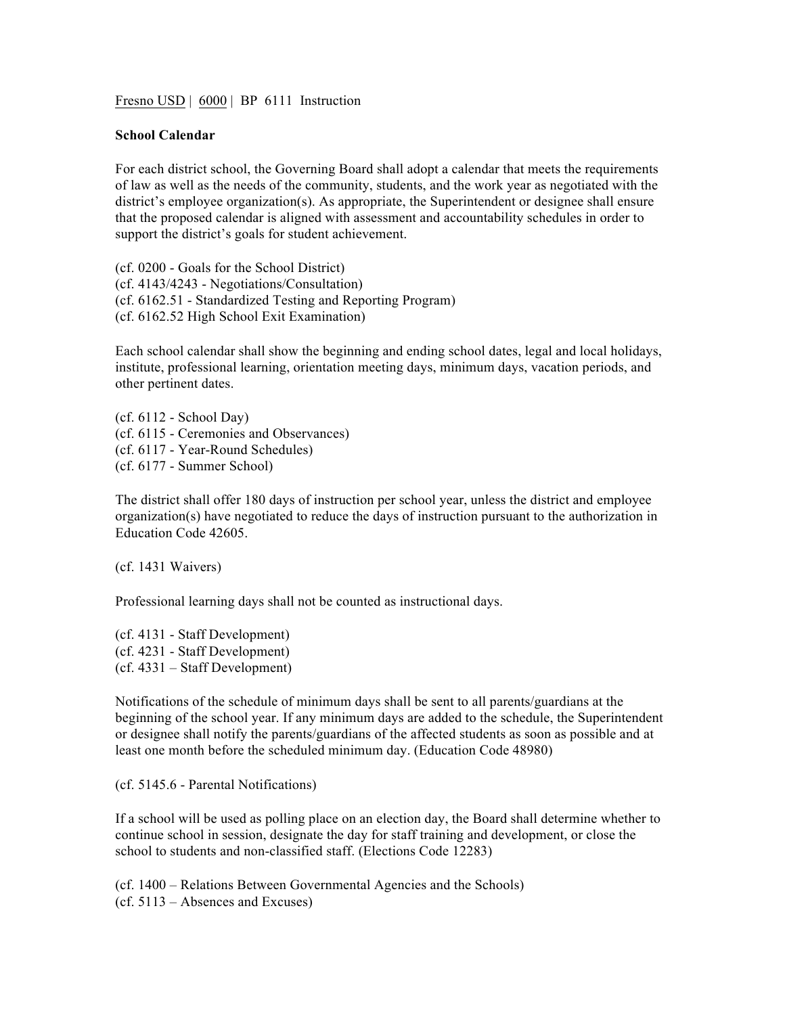Fresno USD | 6000 | BP 6111 Instruction

## **School Calendar**

For each district school, the Governing Board shall adopt a calendar that meets the requirements of law as well as the needs of the community, students, and the work year as negotiated with the district's employee organization(s). As appropriate, the Superintendent or designee shall ensure that the proposed calendar is aligned with assessment and accountability schedules in order to support the district's goals for student achievement.

(cf. 0200 - Goals for the School District) (cf. 4143/4243 - Negotiations/Consultation) (cf. 6162.51 - Standardized Testing and Reporting Program) (cf. 6162.52 High School Exit Examination)

Each school calendar shall show the beginning and ending school dates, legal and local holidays, institute, professional learning, orientation meeting days, minimum days, vacation periods, and other pertinent dates.

(cf. 6112 - School Day) (cf. 6115 - Ceremonies and Observances) (cf. 6117 - Year-Round Schedules) (cf. 6177 - Summer School)

The district shall offer 180 days of instruction per school year, unless the district and employee organization(s) have negotiated to reduce the days of instruction pursuant to the authorization in Education Code 42605.

(cf. 1431 Waivers)

Professional learning days shall not be counted as instructional days.

(cf. 4131 - Staff Development) (cf. 4231 - Staff Development) (cf. 4331 – Staff Development)

Notifications of the schedule of minimum days shall be sent to all parents/guardians at the beginning of the school year. If any minimum days are added to the schedule, the Superintendent or designee shall notify the parents/guardians of the affected students as soon as possible and at least one month before the scheduled minimum day. (Education Code 48980)

(cf. 5145.6 - Parental Notifications)

If a school will be used as polling place on an election day, the Board shall determine whether to continue school in session, designate the day for staff training and development, or close the school to students and non-classified staff. (Elections Code 12283)

(cf. 1400 – Relations Between Governmental Agencies and the Schools) (cf. 5113 – Absences and Excuses)